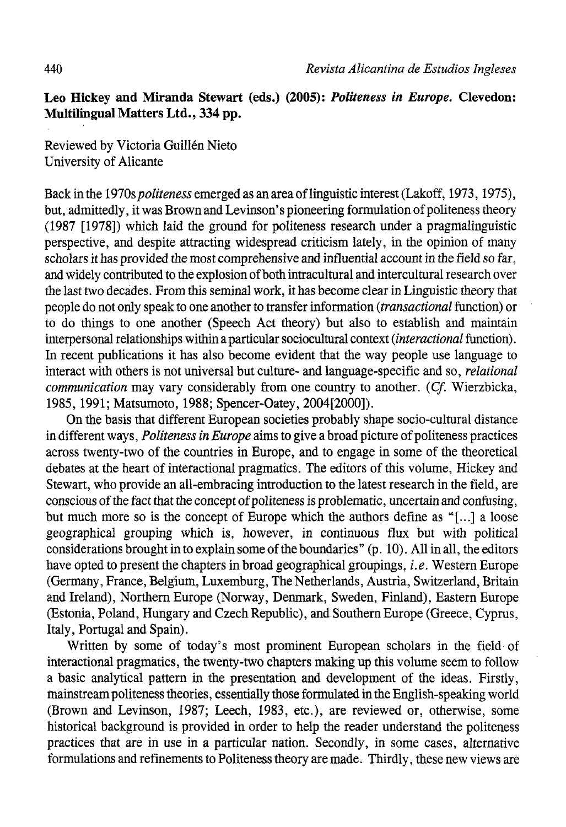## **Leo Hickey and Miranda Stewart (eds.) (2005):** *Politeness in Europe.* **Clevedon: Multilingual Matters Ltd., 334 pp.**

Reviewed by Victoria Guillén Nieto University of Alicante

Back in the 1970s*politeness* emerged as an área of linguistic interest (Lakoff, 1973,1975), but, admittedly, it was Brown and Levinson's pioneering formulation of politeness theory (1987 [1978]) which laid the ground for politeness research under a pragmalinguistic perspective, and despite attracting widespread criticism lately, in the opinión of many scholars it has provided the most comprehensive and influential account in the field so far, and widely contributed to the explosion of both intracultural and intercultural research over the last two decades. From this seminal work, it has become clear in Linguistic theory that people do not only speak to one another to transfer information *{transactional* function) or to do things to one another (Speech Act theory) but also to establish and maintain interpersonal relationships within a particular sociocultural context *(interactional* function). In recent publications it has also become evident that the way people use language to interact with others is not universal but culture- and language-specific and so, *relational communication* may vary considerably from one country to another. *(Cf.* Wierzbicka, 1985,1991; Matsumoto, 1988; Spencer-Oatey, 2004[2000]).

On the basis that different European societies probably shape socio-cultural distance in different ways, *Politeness in Europe* aims to give a broad picture of politeness practices across twenty-two of the countries in Europe, and to engage in some of the theoretical debates at the heart of interactional pragmatics. The editors of this volume, Hickey and Stewart, who provide an all-embracing introduction to the latest research in the field, are conscious of the fact that the concept of politeness is problematic, uncertain and confusing, but much more so is the concept of Europe which the authors define as "[...] a loose geographical grouping which is, however, in continuous flux but with political considerations brought in to explain some of the boundaries"  $(p. 10)$ . All in all, the editors have opted to present the chapters in broad geographical groupings, *i.e.* Western Europe (Germany, France, Belgium, Luxemburg, The Netherlands, Austria, Switzerland, Britain and Ireland), Northern Europe (Norway, Denmark, Sweden, Finland), Eastern Europe (Estonia, Poland, Hungary and Czech Republic), and Southern Europe (Greece, Cyprus, Italy, Portugal and Spain).

Written by some of today's most prominent European scholars in the field of interactional pragmatics, the twenty-two chapters making up this volume seem to follow a basic analytical pattern in the presentation and development of the ideas. Firstly, mainstream politeness theories, essentially those formulated inthe English-speaking world (Brown and Levinson, 1987; Leech, 1983, etc.), are reviewed or, otherwise, some historical background is provided in order to help the reader understand the politeness practices that are in use in a particular nation. Secondly, in some cases, alternative formulations and refinements to Politeness theory are made. Thirdly, these new views are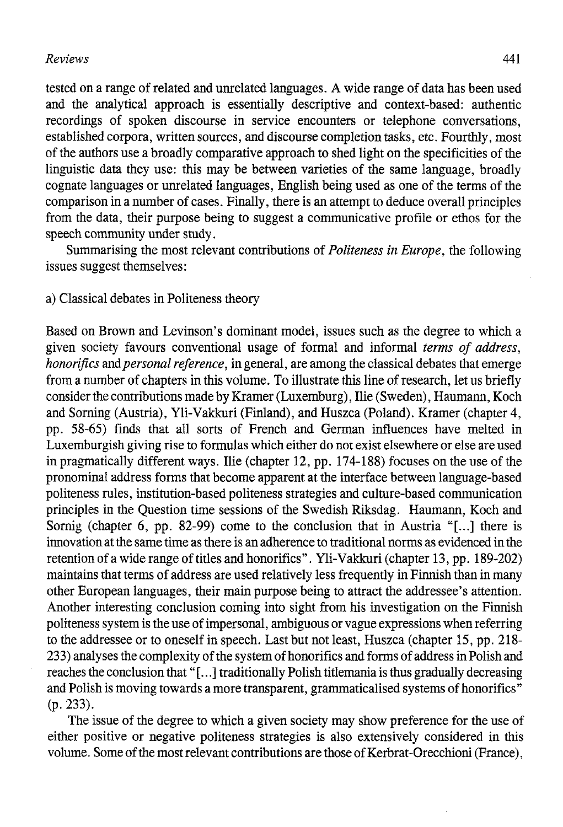# *Reviews* 441

tested on a range of related and unrelated languages. A wide range of data has been used and the analytical approach is essentially descriptive and context-based: authentic recordings of spoken discourse in service encounters or telephone conversations, established corpora, written sources, and discourse completion tasks, etc. Fourthly, most of the authors use a broadly comparative approach to shed light on fhe specificities of the linguistic data they use: this may be between varieties of fhe same language, broadly cognate languages or unrelated languages, English being used as one of the terms of the comparison in a number of cases. Finally, there is an attempt to deduce overall principies from the data, their purpose being to suggest a communicative profile or ethos for the speech community under study.

Summarising fhe most relevant contributions of *Politeness in Europe,* the following issues suggest themselves:

a) Classical debates in Politeness fheory

Based on Brown and Levinson's dominant model, issues such as the degree to which a given society favours conventional usage of formal and informal *terms of address, honorifics and personal reference*, in general, are among the classical debates that emerge from a number of chapters in this volume. To illustrate this line of research, let us briefly consider fhe contributions made by Kramer (Luxemburg), Ilie (Sweden), Haumann, Koch and Sorning (Austria), Yli-Vakkuri (Finland), and Huszca (Poland). Kramer (chapter 4, pp. 58-65) finds that all sorts of French and German influences have melted in Luxemburgish giving rise to formulas which eifher do not exist elsewhere or else are used in pragmatically different ways. Ilie (chapter 12, pp. 174-188) focuses on the use of the pronominal address forms that become apparent at the interface between language-based politeness rules, institution-based politeness strategies and culture-based communication principies in fhe Question time sessions of the Swedish Riksdag. Haumann, Koch and Sornig (chapter 6, pp. 82-99) come to the conclusion that in Austria "[...] there is innovation at the same time as there is an adherence to traditional norms as evidenced in the retention of a wide range of titles and honorifics ". Yli-Vakkuri (chapter 13, pp. 189-202) maintains that terms of address are used relatively less frequenfly in Finnish fhan in many other European languages, their main purpose being to attract the addressee's attention. Another interesting conclusión coming into sight from his investigation on fhe Finnish politeness system is the use of impersonal, ambiguous or vague expressions when referring to the addressee or to oneself in speech. Last but not least, Huszca (chapter 15, pp. 218- 233) analyses the complexity of the system of honorifics and forms of address in Polish and reaches the conclusión that"[...] traditionally Polish titlemania is fhus gradually decreasing and Polish is moving towards a more transparent, grammaticalised systems of honorifics" (p. 233).

The issue of the degree to which a given society may show preference for the use of either positive or negative politeness strategies is also extensively considered in this volume. Some of the most relevant contributions are fhose of Kerbrat-Orecchioni (France),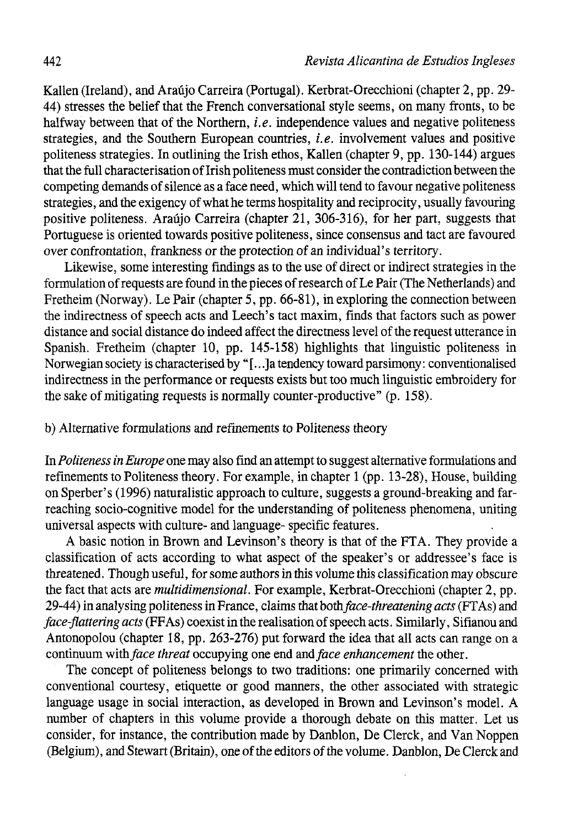Kallen (Ireland), and Araújo Carreira (Portugal). Kerbrat-Orecchioni (chapter 2, pp. 29- 44) stresses the belief that the French conversational style seems, on many fronts, to be halfway between that of the Northern, *i.e.* independence values and negative politeness strategies, and the Southern European countries, *i.e.* involvement values and positive politeness strategies. In outlining the Irish ethos, Kallen (chapter 9, pp. 130-144) argües that the rull characterisation of Irish politeness must consider the contradiction between the competing demands of silence as a face need, which will tend to favour negative politeness strategies, and the exigency of what he terms hospitality and reciprocity, usually favouring positive politeness. Araújo Carreira (chapter 21, 306-316), for her part, suggests that Portuguese is oriented towards positive politeness, since consensus and tact are favoured over confrontation, frankness or the protection of an individual's territory.

Likewise, some interesting findings as to the use of direct or indirect strategies in the formulation of requests are found in the pieces of research of Le Pair (The Netherlands) and Fretheim (Norway). Le Pair (chapter 5, pp. 66-81), in exploring the connection between the indirectness of speech acts and Leech's tact maxim, finds that factors such as power distance and social distance do indeed affect the directness level of the request utterance in Spanish. Fretheim (chapter 10, pp. 145-158) highlights that linguistic politeness in Norwegian society is characterised by "[...] a tendency toward parsimony: conventionalised indirectness in the performance or requests exists but too much linguistic embroidery for the sake of mitigating requests is normally counter-productive" (p. 158).

## b) Alternative formulations and refinements to Politeness theory

In *Politeness in Europe* one may also find an attempt to suggest alternative formulations and refinements to Politeness theory. For example, in chapter 1 (pp. 13-28), House, building on Sperber's (1996) naturalistic approach to culture, suggests a ground-breaking and farreaching socio-cognitive model for the understanding of politeness phenomena, uniting universal aspects with culture- and language- specific features.

A basic notion in Brown and Levinson's theory is that of the FTA. They provide a classification of acts according to what aspect of the speaker's or addressee's face is threatened. Though useful, for some authors in this volume this classification may obscure the fact that acts are *multidimensional.* For example, Kerbrat-Orecchioni (chapter 2, pp. 29-44) in analysing politeness in France, claims that *bothface-threatening acts* (FTAs) and *face-flattering acts* (FF As) coexist in the realisation of speech acts. Similarly, Sifianou and Antonopolou (chapter 18, pp. 263-276) put forward the idea that all acts can range on a continuum with *face threat* occupying one end and *face enhancement* the other.

The concept of politeness belongs to two traditions: one primarily concerned with conventional courtesy, etiquette or good manners, the other associated with strategic language usage in social interaction, as developed in Brown and Levinson's model. A number of chapters in this volume provide a thorough debate on this matter. Let us consider, for instance, the contribution made by Danblon, De Clerck, and Van Noppen (Belgium), and Stewart (Britain), one of the editors of the volume. Danblon, De Clerck and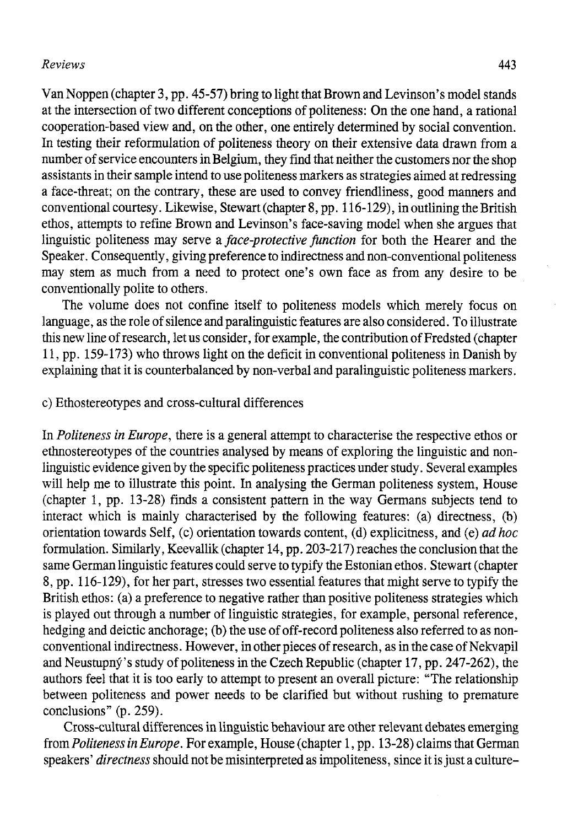#### *Reviews* 443

Van Noppen (chapter 3, pp. 45-57) bring to light that Brown and Levinson's model stands at the intersection of two different conceptions of politeness: On the one hand, a rational cooperation-based view and, on the other, one entirely determined by social convention. In testing their reformulation of politeness theory on their extensive data drawn from a number of service encounters in Belgium, they find that neither the customers ñor the shop assistants in their sample intend to use politeness markers as strategies aimed at redressing a face-threat; on the contrary, these are used to convey friendliness, good manners and conventional courtesy. Likewise, Stewart (chapter 8, pp. 116-129), in outlining the British ethos, attempts to refine Brown and Levinson's face-saving model when she argües that linguistic politeness may serve a *face-protective function* for both the Hearer and the Speaker. Consequently, giving preference to indirectness and non-conventional politeness may stem as much from a need to protect one's own face as from any desire to be conventionally polite to others.

The volume does not confine itself to politeness models which merely focus on language, as the role of silence and paralinguistic features are also considered. To illustrate this new line of research, let us consider, for example, the contribution of Fredsted (chapter 11, pp. 159-173) who throws light on the déficit in conventional politeness in Danish by explaining that it is counterbalanced by non-verbal and paralinguistic politeness markers.

#### c) Ethostereotypes and cross-cultural differences

In *Politeness in Europe,* there is a general attempt to characterise the respective ethos or ethnostereotypes of the countries analysed by means of exploring the linguistic and nonlinguistic evidence givenby the specific politeness practices under study. Several examples will help me to illustrate this point. In analysing the German politeness system, House (chapter 1, pp. 13-28) finds a consistent pattern in the way Germans subjects tend to interact which is mainly characterised by the following features: (a) directness, (b) orientation towards Self, (c) orientation towards content, (d) explicitness, and (e) *adhoc*  formulation. Similarly, Keevallik (chapter 14, pp. 203-217) reaches the conclusion that the same Germán linguistic features could serve to typify the Estonian ethos. Stewart (chapter 8, pp. 116-129), for her part, stresses two essential features that might serve to typify the British ethos: (a) a preference to negative rather than positive politeness strategies which is played out through a number of linguistic strategies, for example, personal reference, hedging and deictic anchorage; (b) the use of off-record politeness also referred to as nonconventional indirectness. However, in other pieces of research, as inthe case of Nekvapil and Neustupny's study of politeness in the Czech Republic (chapter 17, pp. 247-262), the authors feel that it is too early to attempt to present an overall picture: "The relationship between politeness and power needs to be clarified but without rushing to premature conclusions" (p. 259).

Cross-cultural differences in linguistic behaviour are other relevant debates emerging from *Politeness in Europe*. For example, House (chapter 1, pp. 13-28) claims that German speakers' *directness* should not be misinterpreted as impoliteness, since it is just a culture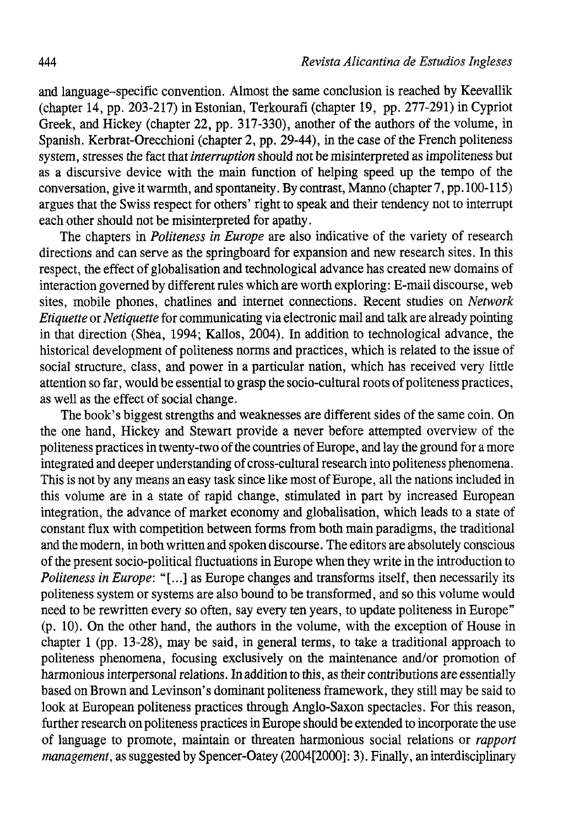and language-specific convention. Almost the same conclusión is reached by Keevallik (chapter 14, pp. 203-217) in Estonian, Terkourafi (chapter 19, pp. 277-291) in Cypriot Greek, and Hickey (chapter 22, pp. 317-330), another of the authors of the volume, in Spanish. Kerbrat-Orecchioni (chapter 2, pp. 29-44), in the case of the French politeness system, stresses the fact that *interruption* should not be misinterpreted as impoliteness but as a discursive device with the main function of helping speed up the tempo of the conversation, give it warmth, and spontaneity. By contrast, Manno (chapter 7, pp. 100-115) argües that the Swiss respect for others' right to speak and their tendency not to interrupt each ofher should not be misinterpreted for apathy.

The chapters in *Politeness in Europe* are also indicative of the variety of research directions and can serve as the springboard for expansión and new research sites. In this respect, the effect of globalisation and technological advance has created new domains of interaction governed by different rules which are worth exploring: E-mail discourse, web sites, mobile phones, chatlines and internet connections. Recent studies on *Network Etiquette* or *Netiquette* for communicating via electronic mail and talk are already pointing in that direction (Shea, 1994; Kallos, 2004). In addition to technological advance, the historical development of politeness norms and practices, which is related to the issue of social structure, class, and power in a particular nation, which has received very little attention so far, would be essential to grasp the socio-cultural roots of politeness practices, as well as the effect of social change.

The book's biggest strengths and weaknesses are different sides of the same coin. On the one hand, Hickey and Stewart provide a never before attempted overview of the politeness practices in twenty-two of the countries of Europe, and lay the ground for a more integrated and deeper understanding of cross-cultural research into politeness phenomena. This is not by any means an easy task since like most of Europe, all the nations included in this volume are in a state of rapid change, stimulated in part by increased European integration, the advance of market economy and globalisation, which leads to a state of constant flux with competition between forms from both main paradigms, the traditional and the modern, in both written and spoken discourse. The editors are absolutely conscious of the present socio-political fluctuations in Europe when they write in the introduction to *Politeness in Europe:* "[...] as Europe changes and transforms itself, then necessarily its politeness system or systems are also bound to be transformed, and so this volume would need to be rewritten every so often, say every ten years, to update politeness in Europe" (p. 10). On the other hand, the authors in the volume, with the exception of House in chapter 1 (pp. 13-28), may be said, in general terms, to take a traditional approach to politeness phenomena, focusing exclusively on the maintenance and/or promotion of harmonious interpersonal relations. In addition to this, as their contributions are essentially based on Brown and Levinson's dominant politeness framework, they still may be said to look at European politeness practices through Anglo-Saxon spectacles. For this reason, further research on politeness practices in Europe should be extended to incorpórate the use of language to promote, maintain or threaten harmonious social relations or *rapport management*, as suggested by Spencer-Oatey (2004[2000]: 3). Finally, an interdisciplinary